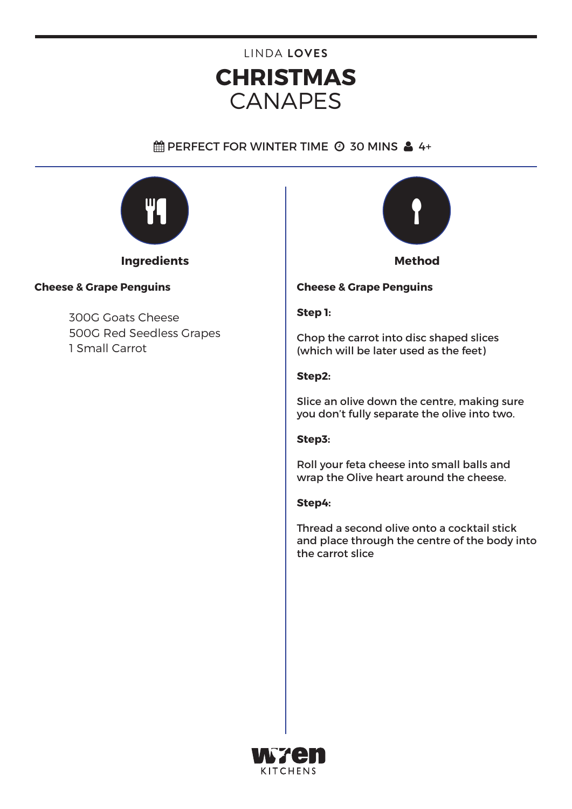# **CHRISTMAS** CANAPES LINDA **LOVES**

# $\hat{m}$  PERFECT FOR WINTER TIME  $\odot$  30 MINS  $\triangleq 4+$



# **Cheese & Grape Penguins**

300G Goats Cheese 500G Red Seedless Grapes 1 Small Carrot



### **Cheese & Grape Penguins**

### **Step 1:**

Chop the carrot into disc shaped slices (which will be later used as the feet)

#### **Step2:**

Slice an olive down the centre, making sure you don't fully separate the olive into two.

#### **Step3:**

Roll your feta cheese into small balls and wrap the Olive heart around the cheese.

#### **Step4:**

Thread a second olive onto a cocktail stick and place through the centre of the body into the carrot slice

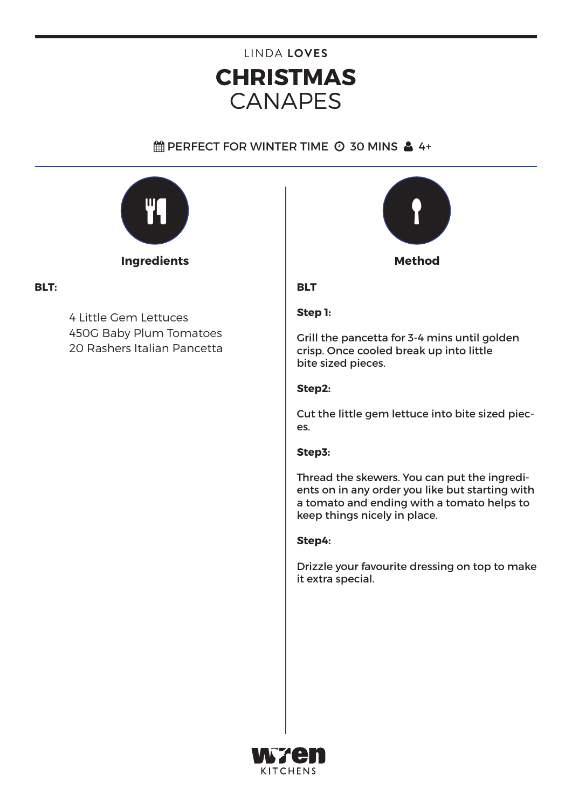# **CHRISTMAS** CANAPES LINDA **LOVES**

# $\hat{m}$  PERFECT FOR WINTER TIME  $\odot$  30 MINS  $\triangleq$  4+



# **BLT:**

4 Little Gem Lettuces 450G Baby Plum Tomatoes 20 Rashers Italian Pancetta



## **BLT**

## **Step 1:**

Grill the pancetta for 3-4 mins until golden crisp. Once cooled break up into little bite sized pieces.

## **Step2:**

Cut the little gem lettuce into bite sized pieces.

### **Step3:**

Thread the skewers. You can put the ingredients on in any order you like but starting with a tomato and ending with a tomato helps to keep things nicely in place.

### **Step4:**

Drizzle your favourite dressing on top to make it extra special.